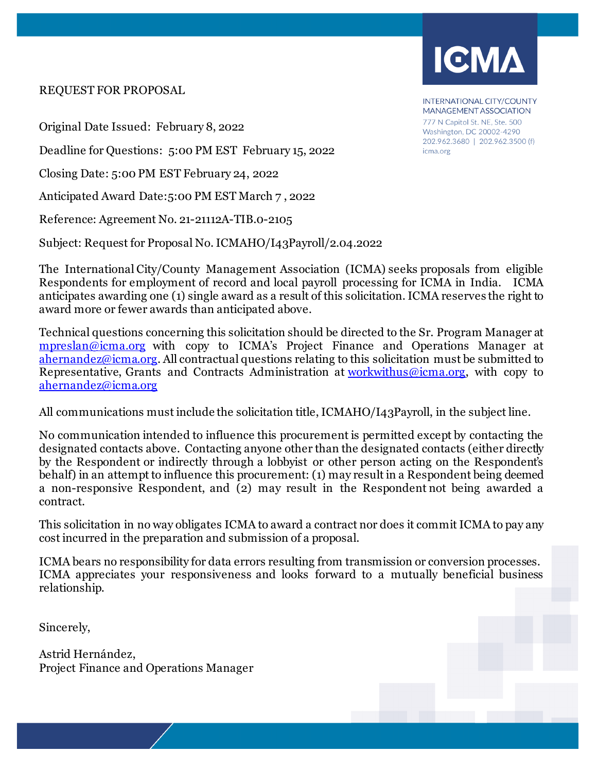#### REQUEST FOR PROPOSAL

Original Date Issued: February 8, 2022

Deadline for Questions: 5:00 PM EST February 15, 2022

Closing Date: 5:00 PM EST February 24, 2022

Anticipated Award Date:5:00 PM EST March 7 , 2022

Reference: Agreement No. 21-21112A-TIB.0-2105

Subject: Request for Proposal No. ICMAHO/I43Payroll/2.04.2022

The International City/County Management Association (ICMA) seeks proposals from eligible Respondents for employment of record and local payroll processing for ICMA in India. ICMA anticipates awarding one (1) single award as a result of this solicitation. ICMA reserves the right to award more or fewer awards than anticipated above.

Technical questions concerning this solicitation should be directed to the Sr. Program Manager at [mpreslan@icma.org](mailto:mpreslan@icma.org) with copy to ICMA's Project Finance and Operations Manager at [ahernandez@icma.org.](mailto:crenderos@icma.org) All contractual questions relating to this solicitation must be submitted to Representative, Grants and Contracts Administration at  $workwithus@icma.org$ , with copy to [ahernandez@icma.org](mailto:ahernandez@icma.org)

All communications must include the solicitation title, ICMAHO/I43Payroll, in the subject line.

No communication intended to influence this procurement is permitted except by contacting the designated contacts above. Contacting anyone other than the designated contacts (either directly by the Respondent or indirectly through a lobbyist or other person acting on the Respondent's behalf) in an attempt to influence this procurement: (1) may result in a Respondent being deemed a non-responsive Respondent, and (2) may result in the Respondent not being awarded a contract.

This solicitation in no way obligates ICMA to award a contract nor does it commit ICMA to pay any cost incurred in the preparation and submission of a proposal.

ICMA bears no responsibility for data errors resulting from transmission or conversion processes. ICMA appreciates your responsiveness and looks forward to a mutually beneficial business relationship.

Sincerely,

Astrid Hernández, Project Finance and Operations Manager



MANAGEMENT ASSOCIATION 777 N Capitol St. NE, Ste. 500 Washington, DC 20002-4290 202.962.3680 | 202.962.3500 (f) icma.org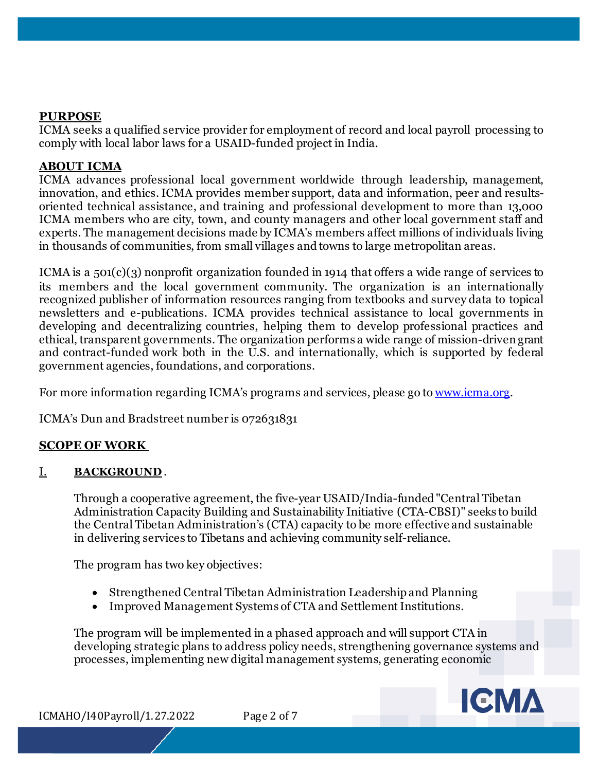### **PURPOSE**

ICMA seeks a qualified service provider for employment of record and local payroll processing to comply with local labor laws for a USAID-funded project in India.

### **ABOUT ICMA**

ICMA advances professional local government worldwide through leadership, management, innovation, and ethics. ICMA provides member support, data and information, peer and resultsoriented technical assistance, and training and professional development to more than 13,000 ICMA members who are city, town, and county managers and other local government staff and experts. The management decisions made by ICMA's members affect millions of individuals living in thousands of communities, from small villages and towns to large metropolitan areas.

ICMA is a 501(c)(3) nonprofit organization founded in 1914 that offers a wide range of services to its members and the local government community. The organization is an internationally recognized publisher of information resources ranging from textbooks and survey data to topical newsletters and e-publications. ICMA provides technical assistance to local governments in developing and decentralizing countries, helping them to develop professional practices and ethical, transparent governments. The organization performs a wide range of mission-driven grant and contract-funded work both in the U.S. and internationally, which is supported by federal government agencies, foundations, and corporations.

For more information regarding ICMA's programs and services, please go to [www.icma.org.](http://www.icma.org/)

ICMA's Dun and Bradstreet number is 072631831

## **SCOPE OF WORK**

### I. **BACKGROUND** .

Through a cooperative agreement, the five-year USAID/India-funded "Central Tibetan Administration Capacity Building and Sustainability Initiative (CTA-CBSI)" seeks to build the Central Tibetan Administration's (CTA) capacity to be more effective and sustainable in delivering services to Tibetans and achieving community self-reliance.

The program has two key objectives:

- Strengthened Central Tibetan Administration Leadership and Planning
- Improved Management Systems of CTA and Settlement Institutions.

The program will be implemented in a phased approach and will support CTA in developing strategic plans to address policy needs, strengthening governance systems and processes, implementing new digital management systems, generating economic



ICMAHO/I40Payroll/1.27.2022 Page 2 of 7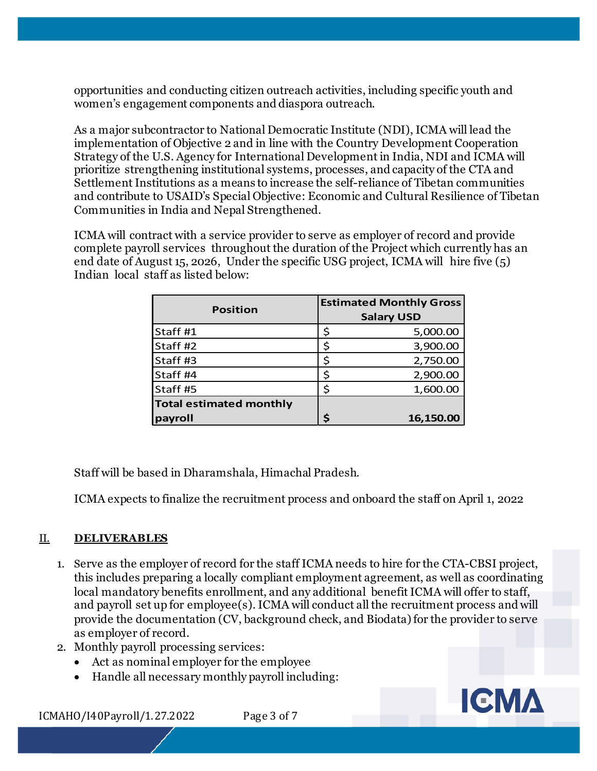opportunities and conducting citizen outreach activities, including specific youth and women's engagement components and diaspora outreach.

As a major subcontractor to National Democratic Institute (NDI), ICMA will lead the implementation of Objective 2 and in line with the Country Development Cooperation Strategy of the U.S. Agency for International Development in India, NDI and ICMA will prioritize strengthening institutional systems, processes, and capacity of the CTA and Settlement Institutions as a means to increase the self-reliance of Tibetan communities and contribute to USAID's Special Objective: Economic and Cultural Resilience of Tibetan Communities in India and Nepal Strengthened.

ICMA will contract with a service provider to serve as employer of record and provide complete payroll services throughout the duration of the Project which currently has an end date of August 15, 2026, Under the specific USG project, ICMA will hire five (5) Indian local staff as listed below:

| <b>Position</b>                |   | <b>Estimated Monthly Gross</b><br><b>Salary USD</b> |
|--------------------------------|---|-----------------------------------------------------|
| Staff #1                       |   | 5,000.00                                            |
| Staff #2                       |   | 3,900.00                                            |
| Staff #3                       |   | 2,750.00                                            |
| Staff #4                       |   | 2,900.00                                            |
| Staff #5                       | ς | 1,600.00                                            |
| <b>Total estimated monthly</b> |   |                                                     |
| payroll                        |   | 16,150.00                                           |

Staff will be based in Dharamshala, Himachal Pradesh.

ICMA expects to finalize the recruitment process and onboard the staff on April 1, 2022

# II. **DELIVERABLES**

- 1. Serve as the employer of record for the staff ICMA needs to hire for the CTA-CBSI project, this includes preparing a locally compliant employment agreement, as well as coordinating local mandatory benefits enrollment, and any additional benefit ICMA will offer to staff, and payroll set up for employee(s). ICMA will conduct all the recruitment process and will provide the documentation (CV, background check, and Biodata) for the provider to serve as employer of record.
- 2. Monthly payroll processing services:
	- Act as nominal employer for the employee
	- Handle all necessary monthly payroll including:

ICMAHO/I40Payroll/1.27.2022 Page 3 of 7

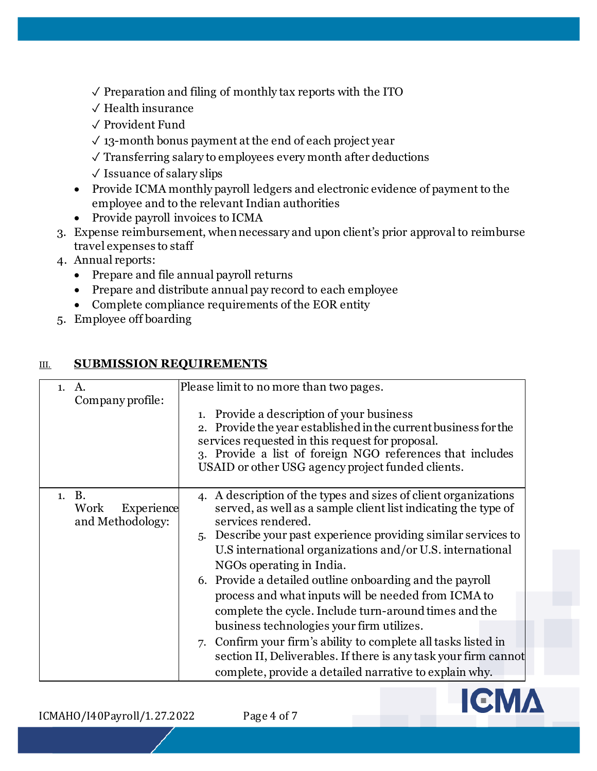$\sqrt{\ }$  Preparation and filing of monthly tax reports with the ITO

- ✓ Health insurance
- ✓ Provident Fund
- $\sqrt{13}$ -month bonus payment at the end of each project year
- ✓ Transferring salary to employees every month after deductions
- $\sqrt{}$  Issuance of salary slips
- Provide ICMA monthly payroll ledgers and electronic evidence of payment to the employee and to the relevant Indian authorities
- Provide payroll invoices to ICMA
- 3. Expense reimbursement, when necessary and upon client's prior approval to reimburse travel expenses to staff
- 4. Annual reports:
	- Prepare and file annual payroll returns
	- Prepare and distribute annual pay record to each employee
	- Complete compliance requirements of the EOR entity
- 5. Employee off boarding

# III. **SUBMISSION REQUIREMENTS**

| 1. A.<br>Company profile:                       | Please limit to no more than two pages.<br>1. Provide a description of your business<br>2. Provide the year established in the current business for the<br>services requested in this request for proposal.<br>3. Provide a list of foreign NGO references that includes<br>USAID or other USG agency project funded clients.                                                                                                                                                                                                                                                                                                                                                                                                              |
|-------------------------------------------------|--------------------------------------------------------------------------------------------------------------------------------------------------------------------------------------------------------------------------------------------------------------------------------------------------------------------------------------------------------------------------------------------------------------------------------------------------------------------------------------------------------------------------------------------------------------------------------------------------------------------------------------------------------------------------------------------------------------------------------------------|
| 1. B.<br>Work<br>Experience<br>and Methodology: | 4. A description of the types and sizes of client organizations<br>served, as well as a sample client list indicating the type of<br>services rendered.<br>5. Describe your past experience providing similar services to<br>U.S international organizations and/or U.S. international<br>NGOs operating in India.<br>6. Provide a detailed outline onboarding and the payroll<br>process and what inputs will be needed from ICMA to<br>complete the cycle. Include turn-around times and the<br>business technologies your firm utilizes.<br>7. Confirm your firm's ability to complete all tasks listed in<br>section II, Deliverables. If there is any task your firm cannot<br>complete, provide a detailed narrative to explain why. |

ICMAHO/I40Payroll/1.27.2022 Page 4 of 7

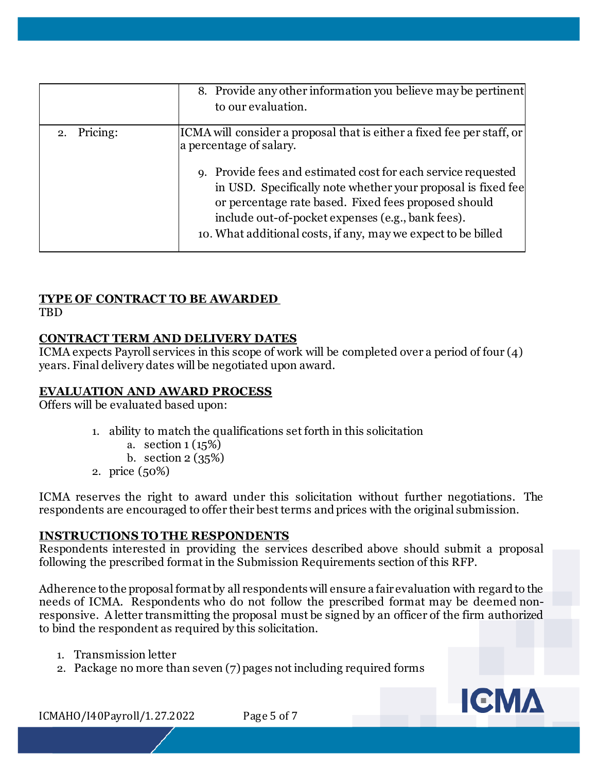| 2. Pricing:<br>[ICMA will consider a proposal that is either a fixed fee per staff, or<br>a percentage of salary.<br>9. Provide fees and estimated cost for each service requested<br>in USD. Specifically note whether your proposal is fixed fee<br>or percentage rate based. Fixed fees proposed should<br>include out-of-pocket expenses (e.g., bank fees). | 8. Provide any other information you believe may be pertinent<br>to our evaluation. |
|-----------------------------------------------------------------------------------------------------------------------------------------------------------------------------------------------------------------------------------------------------------------------------------------------------------------------------------------------------------------|-------------------------------------------------------------------------------------|
|                                                                                                                                                                                                                                                                                                                                                                 | 10. What additional costs, if any, may we expect to be billed                       |

# **TYPE OF CONTRACT TO BE AWARDED**

**TBD** 

# **CONTRACT TERM AND DELIVERY DATES**

ICMA expects Payroll services in this scope of work will be completed over a period of four (4) years. Final delivery dates will be negotiated upon award.

## **EVALUATION AND AWARD PROCESS**

Offers will be evaluated based upon:

- 1. ability to match the qualifications set forth in this solicitation
	- a. section 1 (15%)
	- b. section 2 (35%)
- 2. price (50%)

ICMA reserves the right to award under this solicitation without further negotiations. The respondents are encouraged to offer their best terms and prices with the original submission.

## **INSTRUCTIONS TO THE RESPONDENTS**

Respondents interested in providing the services described above should submit a proposal following the prescribed format in the Submission Requirements section of this RFP.

Adherence to the proposal format by all respondents will ensure a fair evaluation with regard to the needs of ICMA. Respondents who do not follow the prescribed format may be deemed nonresponsive. A letter transmitting the proposal must be signed by an officer of the firm authorized to bind the respondent as required by this solicitation.

- 1. Transmission letter
- 2. Package no more than seven (7) pages not including required forms



ICMAHO/I40Payroll/1.27.2022 Page 5 of 7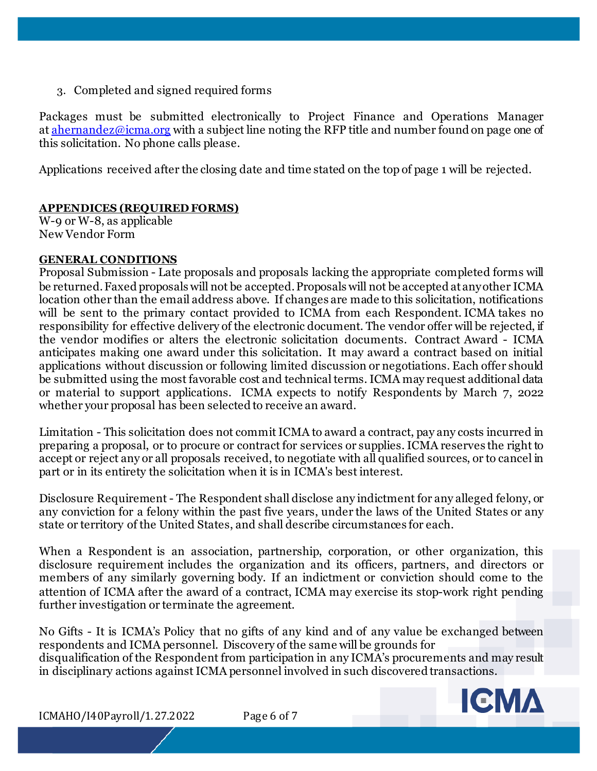3. Completed and signed required forms

Packages must be submitted electronically to Project Finance and Operations Manager at [ahernandez@icma.org](mailto:ikaushansky@icma.org) with a subject line noting the RFP title and number found on page one of this solicitation. No phone calls please.

Applications received after the closing date and time stated on the top of page 1 will be rejected.

### **APPENDICES (REQUIRED FORMS)**

W-9 or W-8, as applicable New Vendor Form

### **GENERAL CONDITIONS**

Proposal Submission - Late proposals and proposals lacking the appropriate completed forms will be returned. Faxed proposals will not be accepted. Proposals will not be accepted at any other ICMA location other than the email address above. If changes are made to this solicitation, notifications will be sent to the primary contact provided to ICMA from each Respondent. ICMA takes no responsibility for effective delivery of the electronic document. The vendor offer will be rejected, if the vendor modifies or alters the electronic solicitation documents. Contract Award - ICMA anticipates making one award under this solicitation. It may award a contract based on initial applications without discussion or following limited discussion or negotiations. Each offer should be submitted using the most favorable cost and technical terms. ICMA may request additional data or material to support applications. ICMA expects to notify Respondents by March 7, 2022 whether your proposal has been selected to receive an award.

Limitation - This solicitation does not commit ICMA to award a contract, pay any costs incurred in preparing a proposal, or to procure or contract for services or supplies. ICMA reserves the right to accept or reject any or all proposals received, to negotiate with all qualified sources, or to cancel in part or in its entirety the solicitation when it is in ICMA's best interest.

Disclosure Requirement - The Respondent shall disclose any indictment for any alleged felony, or any conviction for a felony within the past five years, under the laws of the United States or any state or territory of the United States, and shall describe circumstances for each.

When a Respondent is an association, partnership, corporation, or other organization, this disclosure requirement includes the organization and its officers, partners, and directors or members of any similarly governing body. If an indictment or conviction should come to the attention of ICMA after the award of a contract, ICMA may exercise its stop-work right pending further investigation or terminate the agreement.

No Gifts - It is ICMA's Policy that no gifts of any kind and of any value be exchanged between respondents and ICMA personnel. Discovery of the same will be grounds for disqualification of the Respondent from participation in any ICMA's procurements and may result in disciplinary actions against ICMA personnel involved in such discovered transactions.



ICMAHO/I40Payroll/1.27.2022 Page 6 of 7